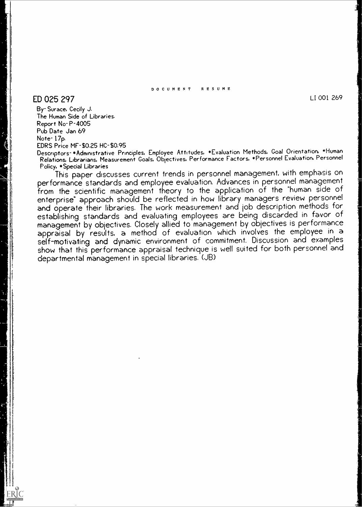#### DOCUMENT RESUME

## $ED$  025 297 LI 001 269  $\frac{1}{2}$

By- Surace, Cecily J. The Human Side of Libraries. Report No-P-4005 Pub Date Jan 69 Note-17p. EDRS Price MF-\$0.25 HC-\$0.95

Descrptors-\*Administrative Principles, Employee Attitudes, \*Evaluation Methods, Goal Orientation, \*Human Relations, Librarians, Measurement Goals, Objectives, Performance Factors, \*Personnel Evaluation, Personnel Policy, \*Special Libraries

This paper discusses current trends in personnel management, with emphasis on performance standards and employee evaluation. Advances in personnel management from the scientific management theory to the application of the "human side of enterprise" approach should be reflected in how library managers review personnel and operate their libraries. The work measurement and job description methods for establishing standards and evaluating employees are being discarded in favor of management by obiectives. Closely allied to management by objectives is performance appraisal by results, a method of evaluation which involves the employee in a self-motivating and dynamic environment of commitment. Discussion and examples show that this performance appraisal technique is well suited for both personnel and departmental management in special libraries. (JB)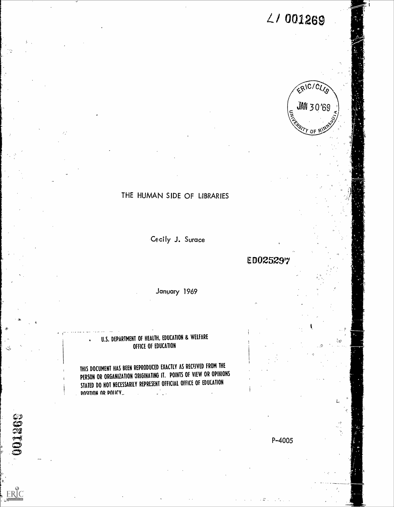$2/001269$ 



# THE HUMAN SIDE OF LIBRARIES

Cecily J. Surace

**ED025297** 

January 1969

## U.S. DEPARTMENT OF HEALTH, EDUCATION & WELFARE OFFICE OF EDUCATION

THIS DOCUMENT HAS BEEN REPRODUCED EXACTLY AS RECEIVED FROM THE PERSON OR ORGANIZATION ORIGINATING IT. POINTS Of VIEW OR OPINIONS STATED DO NOT NECESSARILY REPRESENT OFFICIAL OFFICE OF EDUCATION POMIUON AR POLICY...

 $\begin{bmatrix} 0 \\ 0 \end{bmatrix}$ 

ERIC

 $P - 4005$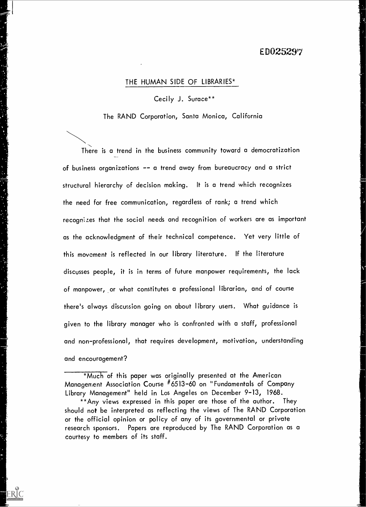### E DO25297

#### THE HUMAN SIDE OF LIBRARIES\*

میں<br>میں<br>م

#### Cecily J. Surace\*\*

The RAND Corporation, Santa Monica, California

There is a trend in the business community toward a democratization of business organizations -- a trend away from bureaucracy and a strict structural hierarchy of decision making. It is a trend which recognizes the need for free communication, regardless of rank; a trend which recognizes that the social needs and recognition of workers are as important as the acknowledgment of their technical competence. Yet very little of this movement is reflected in our library literature. If the literature discusses people, it is in terms of future manpower requirements, the lack of manpower, or what constitutes a professional librarian, and of course there's always discussion going on about library users. What guidance is given to the library manager who is confronted with a staff, professional and non-professional, that requires development, motivation, understanding and encouragement?

\*Much of this paper was originally presented at the American Management Association Course #6513-60 on "Fundamentals of Company Library Management" held in Los Angeles on December 9-13, 1968.

\*\*Any views expressed in this paper are those of the author. They should not be interpreted as reflecting the views of The RAND Corporation or the official opinion or policy of any of its governmental or private research sponsors. Papers are reproduced by The RAND Corporation as a courtesy to members of its staff.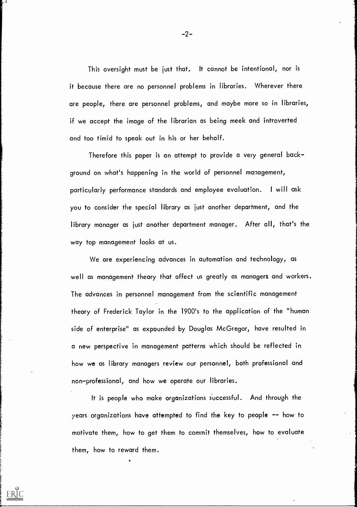This oversight must be just that. It cannot be intentional, nor is it because there are no personnel problems in libraries. Wherever there are people, there are personnel problems, and maybe more so in libraries, if we accept the image of the librarian as being meek and introverted and too timid to speak out in his or her behalf.

Therefore this paper is an attempt to provide a very general background on what's happening in the world of personnel management, particularly performance standards and employee evaluation. <sup>I</sup> will ask you to consider the special library as just another department, and the library manager as just another department manager. After all, that's the way top management looks at us.

We are experiencing advances in automation and technology, as well as management theory that affect us greatly as managers and workers. The advances in personnel management from the scientific management theory of Frederick Taylor in the 1900's to the application of the "human side of enterprise" as expounded by Douglas McGregor, have resulted in a new perspective in management patterns which should be reflected in how we as library managers review our personnel, both professional and non-professional, and how we operate our libraries.

It is people who make organizations successful. And through the years organizations have attempted to find the key to people -- how to motivate them, how to get them to commit themselves, how to evaluate them, how to reward them.

 $-2-$ 

j., 1.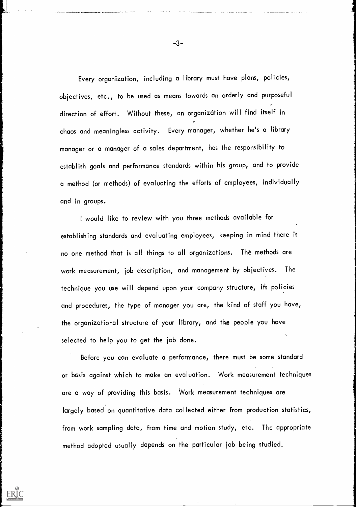Every organization, including a library must have plans, policies, objectives, etc., to be used as means towards an orderly and purposeful ... direction of effort. Without these, an organization will find itself in r chaos and meaningless activity. Every manager, whether he's a library manager or a manager of a sales department, has the responsibility to establish goals and performance standards within his group, and to provide a method (or methods) of evaluating the efforts of employees, individually and in groups.

I would like to review with you three methods available for establishing standards and evaluating employees, keeping in mind there is no one method that is all things to all organizations. The methods are work measurement, job description, and management by objectives. The technique you use will depend upon your company structure, its policies and procedures, the type of manager you are, the kind of staff you have, the organizational structure of your library, and the people you have selected to help you to get the job done.

Before you can evaluate a performance, there must be some standard or basis against which to make an evaluation. Work measurement techniques are a way of providing this basis. Work measurement techniques are largely based on quantitative data collected either from production statistics, from work sampling data, from time and motion study, etc. The appropriate method adopted usually depends on the particular job being studied.

ERIC

-3-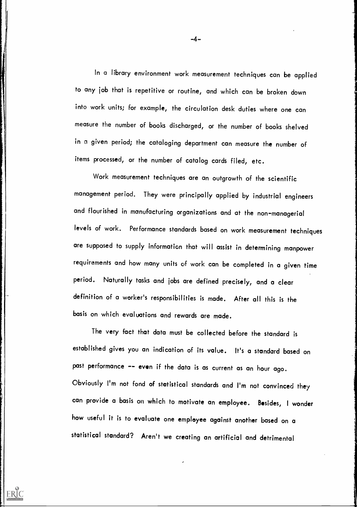In a library environment work measurement techniques can be applied to any job that is repetitive or routine, and which can be broken down into work units; for example, the circulation desk duties where one can measure the number of books discharged, or the number of books shelved in a given period; the cataloging department can measure the number of items processed, or the number of catalog cards filed, etc.

Work measurement techniques are an outgrowth of the scientific management period. They were principally applied by industrial engineers and flourished in manufacturing organizations and at the non-managerial levels of work. Performance standards based on work measurement techniques are supposed to supply information that will assist in determining manpower requirements and how many units of work can be completed in a given time period. Naturally tasks and jobs are defined precisely, and a clear definition of a worker's responsibilities is made. After all this is the basis on which evaluations and rewards are made.

The very fact that data must be collected before the standard is established gives you an indication of its value. It's a standard based on past performance -- even if the data is as current as an hour ago. Obviously I'm not fond of statistical standards and I'm not convinced they can provide a basis on which to motivate an employee. Besides, I wonder how useful it is to evaluate one employee against another based on a statistical standard? Aren't we creating an artificial and detrimental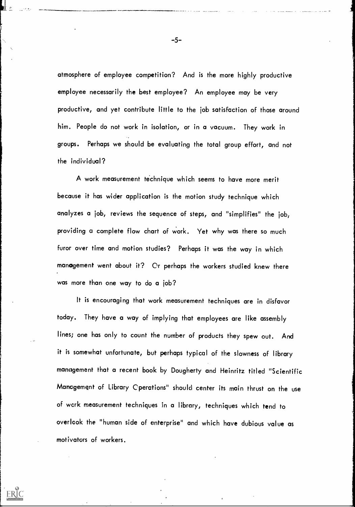atmosphere of employee competition? And is the more highly productive employee necessarily the best employee? An employee may be very productive, and yet contribute little to the job satisfaction of those around him. People do not work in isolation, or in a vacuum. They work in groups. Perhaps we should be evaluating the total group effort, and not the individual?

A work measurement technique which seems to have more merit because it has wider application is the motion study technique which analyzes a job, reviews the sequence of steps, and "simplifies" the job, providing a complete flow chart of work. Yet why was there so much furor over time and motion studies? Perhaps it was the way in which manogement went about it? Or perhaps the workers studied knew there was more than one way to do a job?

It is encouraging that work measurement techniques are in disfavor today. They have a way of implying that employees are like assembly lines; one has only to count the number of products they spew out. And it is somewhat unfortunate, but perhaps typical of the slowness of library management that a recent book by Dougherty and Heinritz titled "Scientific Management of Library Cperations" should center its main thrust on the use of work measurement techniques in a library, techniques which tend to overlook the "human side of enterprise" and which have dubious value as motivators of workers.

ERIC

-5-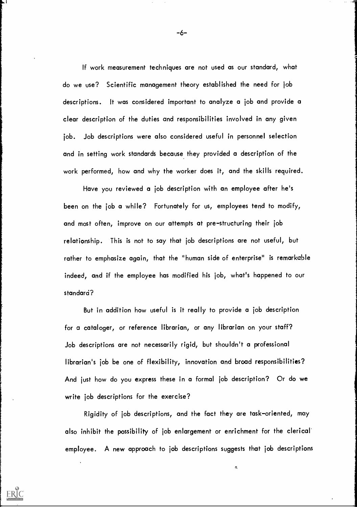If work measurement techniques are not used as our standard, what do we use? Scientific management theory established the need for job descriptions. It was considered important to analyze a job and provide a clear description of the duties and responsibilities involved in any given job. Job descriptions were also considered useful in personnel selection and in setting work standards because they provided a description of the work performed, how and why the worker does it, and the skills required.

Have you reviewed a job description with an employee after he's been on the job a while? Fortunately for us, employees tend to modify, and most often, improve on our attempts at pre-structuring their job relationship. This is not to say that job descriptions are not useful, but rather to emphasize again, that the "human side of enterprise" is remarkable indeed, and if the employee has modified his job, what's happened to our standard?

But in addition how useful is it really to provide a job description for a cataloger, or reference librarian, or any librarian on your staff? Job descriptions are not necessarily rigid, but shouldn't a professional librarian's job be one of flexibility, innovation and broad responsibilities? And just how do you express these in a formal job description? Or do we write job descriptions for the exercise?

Rigidity of job descriptions, and the fact they are task-oriented, may also inhibit the possibility of job enlargement or enrichment for the clerical employee. A new approach to job descriptions suggests that job descriptions

1.

-6-

i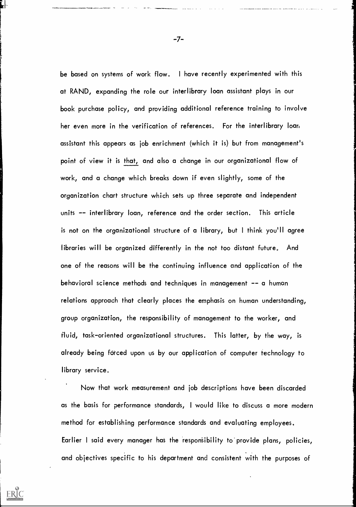be based on systems of work flow. <sup>I</sup> have recently experimented with this at RAND, expanding the role our interlibrary loan assistant plays in our book purchase policy, and providing additional reference training to involve her even more in the verification of references. For the interlibrary loan assistant this appears as job enrichment (which it is) but from management's point of view it is that, and also a change in our organizational flow of work, and a change which breaks down if even slightly, some of the organization chart structure which sets up three separate and independent units -- interlibrary loan, reference and the order section. This article is not on the organizational structure of a library, but <sup>I</sup> think you'll agree libraries will be organized differently in the not too distant future. And one of the reasons will be the continuing influence and application of the behavioral science methods and techniques in management -- a human relations approach that clearly places the emphasis on human understanding, group organization, the responsibility of management to the worker, and fluid, task-oriented organizational structures. This latter, by the way, is already being forced upon us by our application of computer technology to library service.

Now that work measurement and job descriptions have been discarded as the basis for performance standards, I would like to discuss a more modern method for establishing performance standards and evaluating employees, Earlier I said every manager has the responsibility to provide plans, policies, and objectives specific to his department and consistent with the purposes of

-7-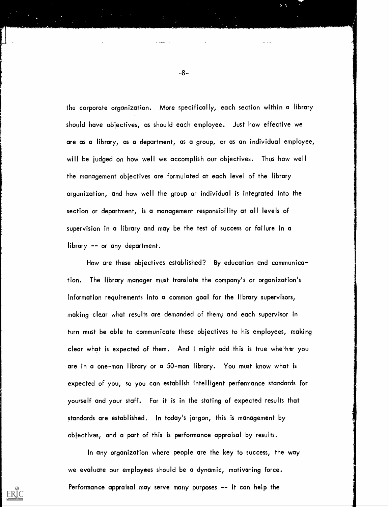the corporate organization. More specifically, each section within a library should have objectives, as should each employee. Just how effective we are as a library, as a department, as a group, or as an individual employee, will be judged on how well we accomplish our objectives. Thus how well the management objectives are formulated at each level of the library orgunization, and how well the group or individual is integrated into the section or department, is a management responsibility at all levels of supervision in a library and may be the test of success or failure in a library -- or any department.

How are these objectives established? By education and communication. The library manager must translate the company's or organization's information requirements into a common goal for the library supervisors, making clear what results are demanded of them; and each supervisor in turn must be able to communicate these objectives to his employees, making clear what is expected of them. And I might add this is true whether you are in a one-man library or a 50-man library. You must know what is expected of you, so you can establish intelligent performance standards for yourself and your staff. For it is in the stating of expected results that standards are established. In today's jargon, this is management by objectives, and a part of this is performance appraisal by results.

In any organization where people are the key to success, the way we evaluate our employees should be a dynamic, motivating force. Performance appraisal may serve many purposes -- it can help the

ERIC

-8-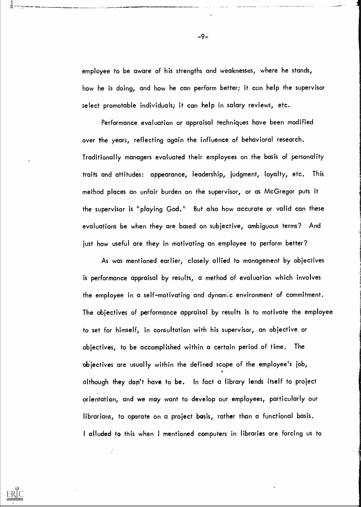employee to be aware of his strengths and weaknesses, where he stands, how he is doing, and how he can perform better; it can help the supervisor select promotable individuals; it can help in salary reviews, etc.

Performance evaluation or appraisal techniques have been modified over the years, reflecting again the influence of behavioral research. Traditionally managers evaluated their employees on the basis of personality traits and attitudes: appearance, leadership, judgment, loyalty, etc. This method places an unfair burden on the supervisor, or as McGregor puts it the supervisor is "playing God." But also how accurate or valid can these evaluations be when they are based on subjective, ambiguous terms? And just how useful are they in motivating an employee to perform better?

As was mentioned earlier, closely allied to management by objectives is performance appraisal by results, a method of evaluation which involves the employee in a self-motivating and dynamic environment of commitment. The objectives of performance appraisal by results is to motivate the employee to set for himself, in consultation with his supervisor, an objective or objectives, to be accomplished within a certain period of time. The 'objectives are usually within the defined scope of the employee's job,  $\mathbf{a}$  and  $\mathbf{a}$ although they don't have to be. In fact a library lends itself to project orientation, and we may want to develop our employees, particularly our librarians, to operate on a project basis, rather than a functional basis. I alluded to this when I mentioned computers in libraries are forcing us to

 $\mathcal{L}$ 

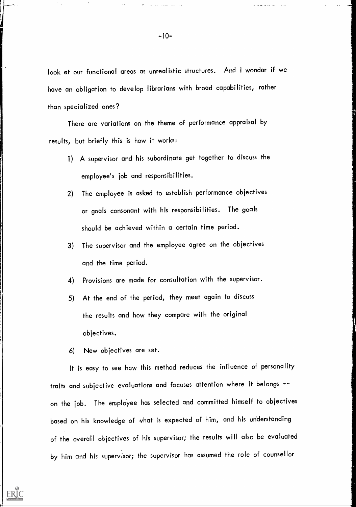look at our functional areas as unrealistic structures. And I wonder if we have an obligation to develop librarians with broad capabilities, rather than specialized ones?

There are variations on the theme of performance appraisal by results, but briefly this is how it works:

- 1) A supervisor and his subordinate get together to discuss the employee's job and responsibilities.
- 2) The employee is asked to establish performance objectives or goals consonant with his responsibilities. The goals should be achieved within a certain time period.
- 3) The supervisor and the employee agree on the objectives and the time period.
- 4) Provisions are made for consultation with the supervisor.
- 5) At the end of the period, they meet again to discuss the results and how they compare with the original objectives.
- 6) New objectives are set.

ERIC

It is easy to see how this method reduces the influence of personality traits and subjective evaluations and focuses attention where it belongs - on the job. The employee has selected and committed himself to objectives based on his knowledge of what is expected of him, and his understanding of the overall objectives of his supervisor; the results will also be evaluated by him and his supervisor; the supervisor has assumed the role of counsellor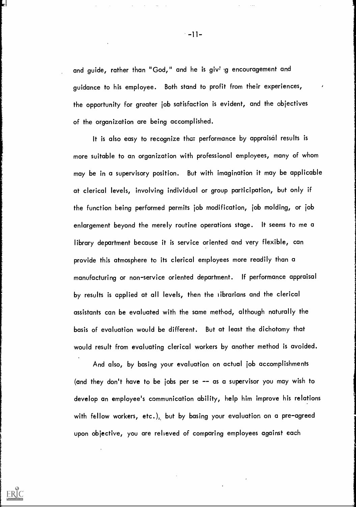and guide, rather than "God," and he is giving encouragement and guidance to his employee. Both stand to profit from their experiences, the opportunity for greater job satisfaction is evident, and the objectives of the organization are being accomplished.

It is also easy to recognize that performance by appraisal results is more suitable to an organization with professional employees, many of whom may be in a supervisory position. But with imagination it may be applicable at clerical levels, involving individual or group participation, but only if the function being performed permits job modification, job molding, or job enlargement beyond the merely routine operations stage. It seems to me a library department because it is service oriented and very flexible, can provide this atmosphere to its clerical employees more readily than a manufacturing or non-service oriented department. If performance appraisal by results is applied at all levels, then the librarians and the clerical assistants can be evaluated with the same method, although naturally the basis of evaluation would be different. But at least the dichotomy that would result from evaluating clerical workers by another method is avoided.

And also, by basing your evaluation on actual job accomplishments (and they don't have to be jobs per se -- as a supervisor you may wish to develop an employee's communication ability, help him improve his relations with fellow workers, etc.). but by basing your evaluation on a pre-agreed upon objective, you are relieved of comparing employees against each

ERIC

 $-11-$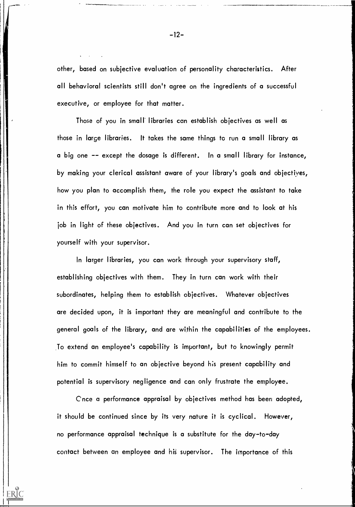other, based on subjective evaluation of personality characteristics. After all behavioral scientists still don't agree on the ingredients of a successful executive, or employee for that matter.

Those of you in small libraries can establish objectives as well as those in large libraries. It takes the same things to run a small library as a big one -- except the dosage is different. In a small library for instance, by making your clerical assistant aware of your library's goals and objectiyes, how you plan to accomplish them, the role you expect the assistant to take in this effort, you can motivate him to contribute more and to look at his job in light of these objectives. And you in turn can set objectives for yourself with your supervisor.

In larger libraries, you can work through your supervisory staff, establishing objectives with them. They in turn can work with their subordinates, helping them to establish objectives. Whatever objectives are decided upon, it is important they are meaningful and contribute to the general goals of the library, and are within the capabilities of the employees. To extend an employee's capability is important, but to knowingly permit him to commit himself to an objective beyond his present capability and potential is supervisory negligence and can only frustrate the employee.

Cnce a performance appraisal by objectives method has been adopted, it should be continued since by its very nature it is cyclical. However, no performance appraisal technique is a substitute for the day-to-day contact between an employee and his supervisor. The importance of this

-12-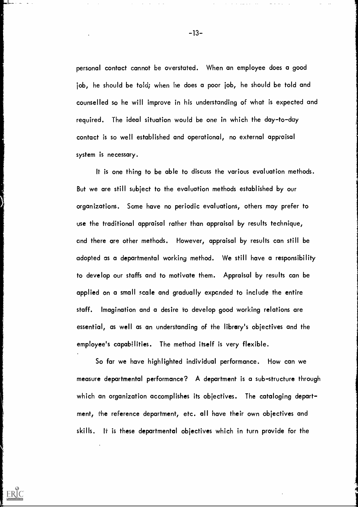personal contact cannot be overstated. When an employee does a good job, he should be told; when he does a poor job, he should be told and counselled so he will improve in his understanding of what is expected and required. The ideal situation would be one in which the day-to-day contact is so well established and operational, no external appraisal system is necessary.

It is one thing to be able to discuss the various evaluation methods. But we are still subject to the evaluation methods established by our organizations. Some have no periodic evaluations, others may prefer to use the traditional appraisal rather than appraisal by results technique, and there are other methods. However, appraisal by results can still be adopted as a departmental working method. We still have a responsibility to develop our staffs and to motivate them. Appraisal by results can be applied on a small scale and gradually expcnded to include the entire staff. Imagination and a desire to develop good working relations are essential, as well as an understanding of the library's objectives and the employee's capabilities. The method itself is very flexible.

So far we have highlighted individual performance. How can we measure departmental performance? A department is a sub-structure through which an organization accomplishes its objectives. The cataloging department, the reference department, etc. all have their own objectives and skills. It is these departmental objectives which in turn provide for the

ERIC

-13-

المحارب والواقوم المراجي

 $\mathcal{L}_{\rm{eff}}$ 

 $\omega_{\rm{eff}}$  ,  $\omega_{\rm{eff}}$  ,  $\omega_{\rm{eff}}$  ,  $\omega_{\rm{eff}}$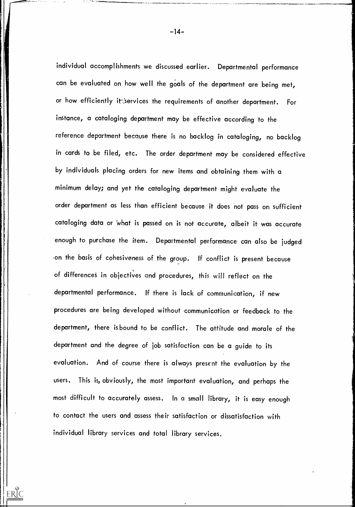individual accomplishments we discussed earlier. Departmental performance can be evaluated on how well the goals of the department are being met, or how efficiently it: services the requirements of another department. For instance, a cataloging department may be effective according to the reference department because there is no backlog in cataloging, no backlog in cards to be filed, etc. The order department may be considered effective by individuals placing orders for new items and obtaining them with a minimum delay; and yet the cataloging department might evaluate the order department as less than efficient because it does not pass on sufficient cataloging data or 'what is passed on is not accurate, albeit it was accurate enough to purchase the item. Departmental performance can also be judged .on the basis of cohesiveness of the group. If conflict is present because of differences in objectives and procedures, this will reflect on the departmental performance. If there is lack of communication, if new procedures are being developed without communication or feedback to the department, there is bound to be conflict. The attitude and morale of the department and the degree of job satisfaction can be a guide to its evaluation. And of course there is always present the evaluation by the users. This is, obviously, the most important evaluation, and perhaps the most difficult to accurately assess. In a small library, it is easy enough to contact the users and assess their satisfaction or dissatisfaction with individual library services and total library services,

ERIC

-14-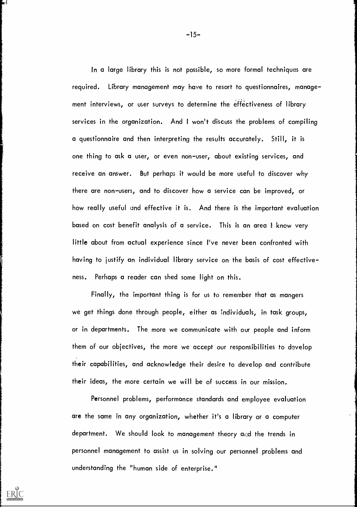In a large library this is not possible, so more formal techniques are required. Library management may have to resort to questionnaires, manage ment interviews, or user surveys to determine the effectiveness of library services in the organization. And <sup>I</sup> won't discuss the problems of compiling a questionnaire and then interpreting the results accurately. Still, it is one thing to ask a user, or even non-user, about existing services, and receive an answer. But perhaps it would be more useful to discover why there are non-users, and to discover how a service can be improved, or how really useful and effective it is. And there is the important evaluation based on cost benefit analysis of a service. This is an area I know very little about from actual experience since I've never been confronted with having to justify an individual library service on the basis of cost effectiveness. Perhaps a reader can shed some light on this.

Finally, the important thing is for us to remember that as mangers we get things done through people, either as :ndividuals, in task groups, or in departments. The more we communicate with our people and inform them of our objectives, the more we accept our responsibilities to develop their capabilities, and acknowledge their desire to develop and contribute their ideas, the more certain we will be of success in our mission.

Personnel problems, performance standards and employee evaluation are the same in any organization, whether it's a library or a computer department. We should look to management theory and the trends in personnel management to assist us in solving our personnel problems and understanding the "human side of enterprise."

Ы